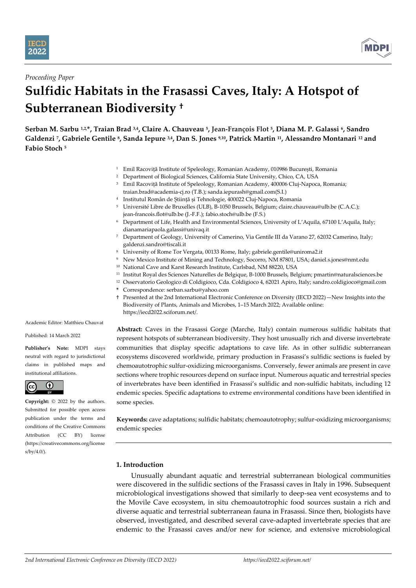



## *Proceeding Paper*

# **Sulfidic Habitats in the Frasassi Caves, Italy: A Hotspot of Subterranean Biodiversity †**

**Serban M. Sarbu 1,2,\*, Traian Brad 3,4, Claire A. Chauveau <sup>5</sup> , Jean-François Flot <sup>5</sup> , Diana M. P. Galassi <sup>6</sup> , Sandro Galdenzi <sup>7</sup> , Gabriele Gentile <sup>8</sup> , Sanda Iepure 3,4, Dan S. Jones 9,10 , Patrick Martin <sup>11</sup>, Alessandro Montanari <sup>12</sup> and Fabio Stoch <sup>5</sup>**

- <sup>1</sup> Emil Racoviță Institute of Speleology, Romanian Academy, 010986 București, Romania
- <sup>2</sup> Department of Biological Sciences, California State University, Chico, CA, USA
- <sup>3</sup> Emil Racoviță Institute of Speleology, Romanian Academy, 400006 Cluj-Napoca, Romania; traian.brad@academia-cj.ro (T.B.); sanda.iepurash@gmail.com(S.I.)
- 4 Institutul Român de Știință și Tehnologie, 400022 Cluj-Napoca, Romania
- <sup>5</sup> Université Libre de Bruxelles (ULB), B-1050 Brussels, Belgium; claire.chauveau@ulb.be (C.A.C.); jean-francois.flot@ulb.be (J.-F.F.); fabio.stoch@ulb.be (F.S.)
- <sup>6</sup> Department of Life, Health and Environmental Sciences, University of L'Aquila, 67100 L'Aquila, Italy; dianamariapaola.galassi@univaq.it
- <sup>7</sup> Department of Geology, University of Camerino, Via Gentile III da Varano 27, 62032 Camerino, Italy; galdenzi.sandro@tiscali.it
- <sup>8</sup> University of Rome Tor Vergata, 00133 Rome, Italy; gabriele.gentile@uniroma2.it
- <sup>9</sup> New Mexico Institute of Mining and Technology, Socorro, NM 87801, USA; daniel.s.jones@nmt.edu
- <sup>10</sup> National Cave and Karst Research Institute, Carlsbad, NM 88220, USA
- <sup>11</sup> Institut Royal des Sciences Naturelles de Belgique, B-1000 Brussels, Belgium; pmartin@naturalsciences.be
- <sup>12</sup> Osservatorio Geologico di Coldigioco, Cda. Coldigioco 4, 62021 Apiro, Italy; sandro.coldigioco@gmail.com **\*** Correspondence: serban.sarbu@yahoo.com
- † Presented at the 2nd International Electronic Conference on Diversity (IECD 2022)—New Insights into the Biodiversity of Plants, Animals and Microbes, 1–15 March 2022; Available online: https://iecd2022.sciforum.net/.

Academic Editor: Matthieu Chauvat

Published: 14 March 2022

**Publisher's Note:** MDPI stays neutral with regard to jurisdictional claims in published maps and institutional affiliations.



**Copyright:** © 2022 by the authors. Submitted for possible open access publication under the terms and conditions of the Creative Commons Attribution (CC BY) license (https://creativecommons.org/license s/by/4.0/).

**Abstract:** Caves in the Frasassi Gorge (Marche, Italy) contain numerous sulfidic habitats that represent hotspots of subterranean biodiversity. They host unusually rich and diverse invertebrate communities that display specific adaptations to cave life. As in other sulfidic subterranean ecosystems discovered worldwide, primary production in Frasassi's sulfidic sections is fueled by chemoautotrophic sulfur-oxidizing microorganisms. Conversely, fewer animals are present in cave sections where trophic resources depend on surface input. Numerous aquatic and terrestrial species of invertebrates have been identified in Frasassi's sulfidic and non-sulfidic habitats, including 12 endemic species. Specific adaptations to extreme environmental conditions have been identified in some species.

**Keywords:** cave adaptations; sulfidic habitats; chemoautotrophy; sulfur-oxidizing microorganisms; endemic species

# **1. Introduction**

Unusually abundant aquatic and terrestrial subterranean biological communities were discovered in the sulfidic sections of the Frasassi caves in Italy in 1996. Subsequent microbiological investigations showed that similarly to deep-sea vent ecosystems and to the Movile Cave ecosystem, in situ chemoautotrophic food sources sustain a rich and diverse aquatic and terrestrial subterranean fauna in Frasassi. Since then, biologists have observed, investigated, and described several cave-adapted invertebrate species that are endemic to the Frasassi caves and/or new for science, and extensive microbiological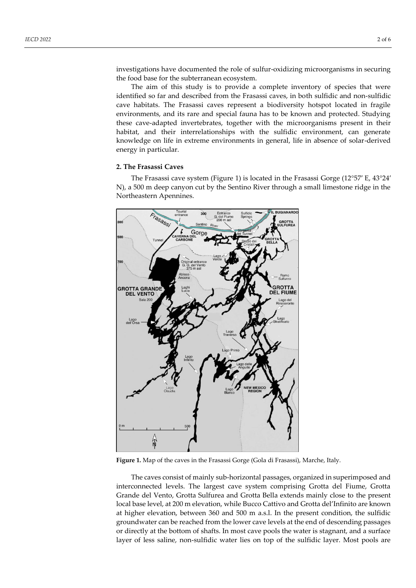investigations have documented the role of sulfur-oxidizing microorganisms in securing the food base for the subterranean ecosystem.

The aim of this study is to provide a complete inventory of species that were identified so far and described from the Frasassi caves, in both sulfidic and non-sulfidic cave habitats. The Frasassi caves represent a biodiversity hotspot located in fragile environments, and its rare and special fauna has to be known and protected. Studying these cave-adapted invertebrates, together with the microorganisms present in their habitat, and their interrelationships with the sulfidic environment, can generate knowledge on life in extreme environments in general, life in absence of solar-derived energy in particular.

#### **2. The Frasassi Caves**

The Frasassi cave system (Figure 1) is located in the Frasassi Gorge (12°57′ E, 43°24′ N), a 500 m deep canyon cut by the Sentino River through a small limestone ridge in the Northeastern Apennines.



**Figure 1.** Map of the caves in the Frasassi Gorge (Gola di Frasassi), Marche, Italy.

The caves consist of mainly sub-horizontal passages, organized in superimposed and interconnected levels. The largest cave system comprising Grotta del Fiume, Grotta Grande del Vento, Grotta Sulfurea and Grotta Bella extends mainly close to the present local base level, at 200 m elevation, while Bucco Cattivo and Grotta del'Infinito are known at higher elevation, between 360 and 500 m a.s.l. In the present condition, the sulfidic groundwater can be reached from the lower cave levels at the end of descending passages or directly at the bottom of shafts. In most cave pools the water is stagnant, and a surface layer of less saline, non-sulfidic water lies on top of the sulfidic layer. Most pools are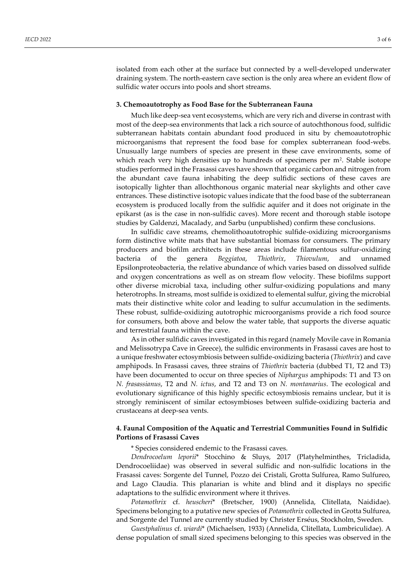isolated from each other at the surface but connected by a well-developed underwater draining system. The north-eastern cave section is the only area where an evident flow of sulfidic water occurs into pools and short streams.

#### **3. Chemoautotrophy as Food Base for the Subterranean Fauna**

Much like deep-sea vent ecosystems, which are very rich and diverse in contrast with most of the deep-sea environments that lack a rich source of autochthonous food, sulfidic subterranean habitats contain abundant food produced in situ by chemoautotrophic microorganisms that represent the food base for complex subterranean food-webs. Unusually large numbers of species are present in these cave environments, some of which reach very high densities up to hundreds of specimens per m<sup>2</sup> . Stable isotope studies performed in the Frasassi caves have shown that organic carbon and nitrogen from the abundant cave fauna inhabiting the deep sulfidic sections of these caves are isotopically lighter than allochthonous organic material near skylights and other cave entrances. These distinctive isotopic values indicate that the food base of the subterranean ecosystem is produced locally from the sulfidic aquifer and it does not originate in the epikarst (as is the case in non-sulfidic caves). More recent and thorough stable isotope studies by Galdenzi, Macalady, and Sarbu (unpublished) confirm these conclusions.

In sulfidic cave streams, chemolithoautotrophic sulfide-oxidizing microorganisms form distinctive white mats that have substantial biomass for consumers. The primary producers and biofilm architects in these areas include filamentous sulfur-oxidizing bacteria of the genera *Beggiatoa*, *Thiothrix*, *Thiovulum*, and unnamed Epsilonproteobacteria, the relative abundance of which varies based on dissolved sulfide and oxygen concentrations as well as on stream flow velocity. These biofilms support other diverse microbial taxa, including other sulfur-oxidizing populations and many heterotrophs. In streams, most sulfide is oxidized to elemental sulfur, giving the microbial mats their distinctive white color and leading to sulfur accumulation in the sediments. These robust, sulfide-oxidizing autotrophic microorganisms provide a rich food source for consumers, both above and below the water table, that supports the diverse aquatic and terrestrial fauna within the cave.

As in other sulfidic caves investigated in this regard (namely Movile cave in Romania and Melissotrypa Cave in Greece), the sulfidic environments in Frasassi caves are host to a unique freshwater ectosymbiosis between sulfide-oxidizing bacteria (*Thiothrix*) and cave amphipods. In Frasassi caves, three strains of *Thiothrix* bacteria (dubbed T1, T2 and T3) have been documented to occur on three species of *Niphargus* amphipods: T1 and T3 on *N. frasassianus*, T2 and *N. ictus*, and T2 and T3 on *N. montanarius*. The ecological and evolutionary significance of this highly specific ectosymbiosis remains unclear, but it is strongly reminiscent of similar ectosymbioses between sulfide-oxidizing bacteria and crustaceans at deep-sea vents.

### **4. Faunal Composition of the Aquatic and Terrestrial Communities Found in Sulfidic Portions of Frasassi Caves**

\* Species considered endemic to the Frasassi caves.

*Dendrocoelum leporii*\* Stocchino & Sluys, 2017 (Platyhelminthes, Tricladida, Dendrocoeliidae) was observed in several sulfidic and non-sulfidic locations in the Frasassi caves: Sorgente del Tunnel, Pozzo dei Cristali, Grotta Sulfurea, Ramo Sulfureo, and Lago Claudia. This planarian is white and blind and it displays no specific adaptations to the sulfidic environment where it thrives.

*Potamothrix* cf. *heuscheri*\* (Bretscher, 1900) (Annelida, Clitellata, Naididae). Specimens belonging to a putative new species of *Potamothrix* collected in Grotta Sulfurea, and Sorgente del Tunnel are currently studied by Christer Erséus, Stockholm, Sweden.

*Guestphalinus* cf. *wiardi*\* (Michaelsen, 1933) (Annelida, Clitellata, Lumbriculidae). A dense population of small sized specimens belonging to this species was observed in the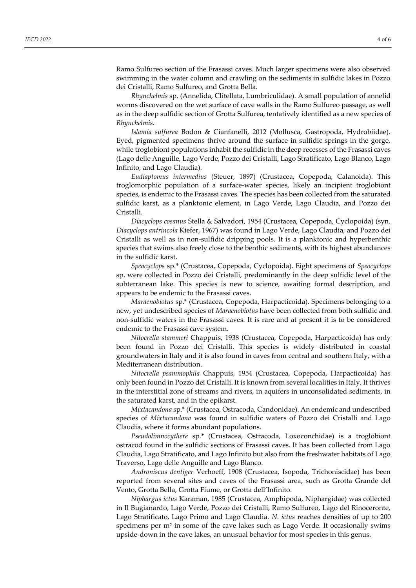Ramo Sulfureo section of the Frasassi caves. Much larger specimens were also observed swimming in the water column and crawling on the sediments in sulfidic lakes in Pozzo dei Cristalli, Ramo Sulfureo, and Grotta Bella.

*Rhynchelmis* sp. (Annelida, Clitellata, Lumbriculidae). A small population of annelid worms discovered on the wet surface of cave walls in the Ramo Sulfureo passage, as well as in the deep sulfidic section of Grotta Sulfurea, tentatively identified as a new species of *Rhynchelmis*.

*Islamia sulfurea* Bodon & Cianfanelli, 2012 (Mollusca, Gastropoda, Hydrobiidae). Eyed, pigmented specimens thrive around the surface in sulfidic springs in the gorge, while troglobiont populations inhabit the sulfidic in the deep recesses of the Frasassi caves (Lago delle Anguille, Lago Verde, Pozzo dei Cristalli, Lago Stratificato, Lago Blanco, Lago Infinito, and Lago Claudia).

*Eudiaptomus intermedius* (Steuer, 1897) (Crustacea, Copepoda, Calanoida). This troglomorphic population of a surface-water species, likely an incipient troglobiont species, is endemic to the Frasassi caves. The species has been collected from the saturated sulfidic karst, as a planktonic element, in Lago Verde, Lago Claudia, and Pozzo dei Cristalli.

*Diacyclops cosanus* Stella & Salvadori, 1954 (Crustacea, Copepoda, Cyclopoida) (syn. *Diacyclops antrincola* Kiefer, 1967) was found in Lago Verde, Lago Claudia, and Pozzo dei Cristalli as well as in non-sulfidic dripping pools. It is a planktonic and hyperbenthic species that swims also freely close to the benthic sediments, with its highest abundances in the sulfidic karst.

*Speocyclops* sp.\* (Crustacea, Copepoda, Cyclopoida). Eight specimens of *Speocyclops* sp. were collected in Pozzo dei Cristalli, predominantly in the deep sulfidic level of the subterranean lake. This species is new to science, awaiting formal description, and appears to be endemic to the Frasassi caves.

*Maraenobiotus* sp.\* (Crustacea, Copepoda, Harpacticoida). Specimens belonging to a new, yet undescribed species of *Maraenobiotus* have been collected from both sulfidic and non-sulfidic waters in the Frasassi caves. It is rare and at present it is to be considered endemic to the Frasassi cave system.

*Nitocrella stammeri* Chappuis, 1938 (Crustacea, Copepoda, Harpacticoida) has only been found in Pozzo dei Cristalli. This species is widely distributed in coastal groundwaters in Italy and it is also found in caves from central and southern Italy, with a Mediterranean distribution.

*Nitocrella psammophila* Chappuis, 1954 (Crustacea, Copepoda, Harpacticoida) has only been found in Pozzo dei Cristalli. It is known from several localities in Italy. It thrives in the interstitial zone of streams and rivers, in aquifers in unconsolidated sediments, in the saturated karst, and in the epikarst.

*Mixtacandona* sp.\* (Crustacea, Ostracoda, Candonidae). An endemic and undescribed species of *Mixtacandona* was found in sulfidic waters of Pozzo dei Cristalli and Lago Claudia, where it forms abundant populations.

*Pseudolimnocythere* sp.\* (Crustacea, Ostracoda, Loxoconchidae) is a troglobiont ostracod found in the sulfidic sections of Frasassi caves. It has been collected from Lago Claudia, Lago Stratificato, and Lago Infinito but also from the freshwater habitats of Lago Traverso, Lago delle Anguille and Lago Blanco.

*Androniscus dentiger* Verhoeff, 1908 (Crustacea, Isopoda, Trichoniscidae) has been reported from several sites and caves of the Frasassi area, such as Grotta Grande del Vento, Grotta Bella, Grotta Fiume, or Grotta dell'Infinito.

*Niphargus ictus* Karaman, 1985 (Crustacea, Amphipoda, Niphargidae) was collected in Il Bugianardo, Lago Verde, Pozzo dei Cristalli, Ramo Sulfureo, Lago del Rinoceronte, Lago Stratificato, Lago Primo and Lago Claudia. *N. ictus* reaches densities of up to 200 specimens per  $m<sup>2</sup>$  in some of the cave lakes such as Lago Verde. It occasionally swims upside-down in the cave lakes, an unusual behavior for most species in this genus.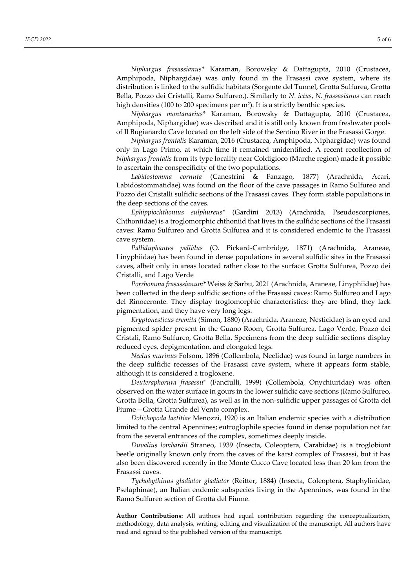*Niphargus frasassianus*\* Karaman, Borowsky & Dattagupta, 2010 (Crustacea, Amphipoda, Niphargidae) was only found in the Frasassi cave system, where its distribution is linked to the sulfidic habitats (Sorgente del Tunnel, Grotta Sulfurea, Grotta Bella, Pozzo dei Cristalli, Ramo Sulfureo,). Similarly to *N. ictus*, *N. frassasianus* can reach high densities (100 to 200 specimens per m<sup>2</sup> ). It is a strictly benthic species.

*Niphargus montanarius*\* Karaman, Borowsky & Dattagupta, 2010 (Crustacea, Amphipoda, Niphargidae) was described and it is still only known from freshwater pools of Il Bugianardo Cave located on the left side of the Sentino River in the Frasassi Gorge.

*Niphargus frontalis* Karaman, 2016 (Crustacea, Amphipoda, Niphargidae) was found only in Lago Primo, at which time it remained unidentified. A recent recollection of *Niphargus frontalis* from its type locality near Coldigioco (Marche region) made it possible to ascertain the conspecificity of the two populations.

*Labidostomma cornuta* (Canestrini & Fanzago, 1877) (Arachnida, Acari, Labidostommatidae) was found on the floor of the cave passages in Ramo Sulfureo and Pozzo dei Cristalli sulfidic sections of the Frasassi caves. They form stable populations in the deep sections of the caves.

*Ephippiochthonius sulphureus*\* (Gardini 2013) (Arachnida, Pseudoscorpiones, Chthoniidae) is a troglomorphic chthoniid that lives in the sulfidic sections of the Frasassi caves: Ramo Sulfureo and Grotta Sulfurea and it is considered endemic to the Frasassi cave system.

*Palliduphantes pallidus* (O. Pickard-Cambridge, 1871) (Arachnida, Araneae, Linyphiidae) has been found in dense populations in several sulfidic sites in the Frasassi caves, albeit only in areas located rather close to the surface: Grotta Sulfurea, Pozzo dei Cristalli, and Lago Verde

*Porrhomma frasassianum*\* Weiss & Sarbu, 2021 (Arachnida, Araneae, Linyphiidae) has been collected in the deep sulfidic sections of the Frasassi caves: Ramo Sulfureo and Lago del Rinoceronte. They display troglomorphic characteristics: they are blind, they lack pigmentation, and they have very long legs.

*Kryptonesticus eremita* (Simon, 1880) (Arachnida, Araneae, Nesticidae) is an eyed and pigmented spider present in the Guano Room, Grotta Sulfurea, Lago Verde, Pozzo dei Cristali, Ramo Sulfureo, Grotta Bella. Specimens from the deep sulfidic sections display reduced eyes, depigmentation, and elongated legs.

*Neelus murinus* Folsom, 1896 (Collembola, Neelidae) was found in large numbers in the deep sulfidic recesses of the Frasassi cave system, where it appears form stable, although it is considered a trogloxene.

*Deuteraphorura frasassii*\* (Fanciulli, 1999) (Collembola, Onychiuridae) was often observed on the water surface in gours in the lower sulfidic cave sections (Ramo Sulfureo, Grotta Bella, Grotta Sulfurea), as well as in the non-sulfidic upper passages of Grotta del Fiume—Grotta Grande del Vento complex.

*Dolichopoda laetitiae* Menozzi, 1920 is an Italian endemic species with a distribution limited to the central Apennines; eutroglophile species found in dense population not far from the several entrances of the complex, sometimes deeply inside.

*Duvalius lombardii* Straneo, 1939 (Insecta, Coleoptera, Carabidae) is a troglobiont beetle originally known only from the caves of the karst complex of Frasassi, but it has also been discovered recently in the Monte Cucco Cave located less than 20 km from the Frasassi caves.

*Tychobythinus gladiator gladiator* (Reitter, 1884) (Insecta, Coleoptera, Staphylinidae, Pselaphinae), an Italian endemic subspecies living in the Apennines, was found in the Ramo Sulfureo section of Grotta del Fiume.

**Author Contributions:** All authors had equal contribution regarding the conceptualization, methodology, data analysis, writing, editing and visualization of the manuscript. All authors have read and agreed to the published version of the manuscript.